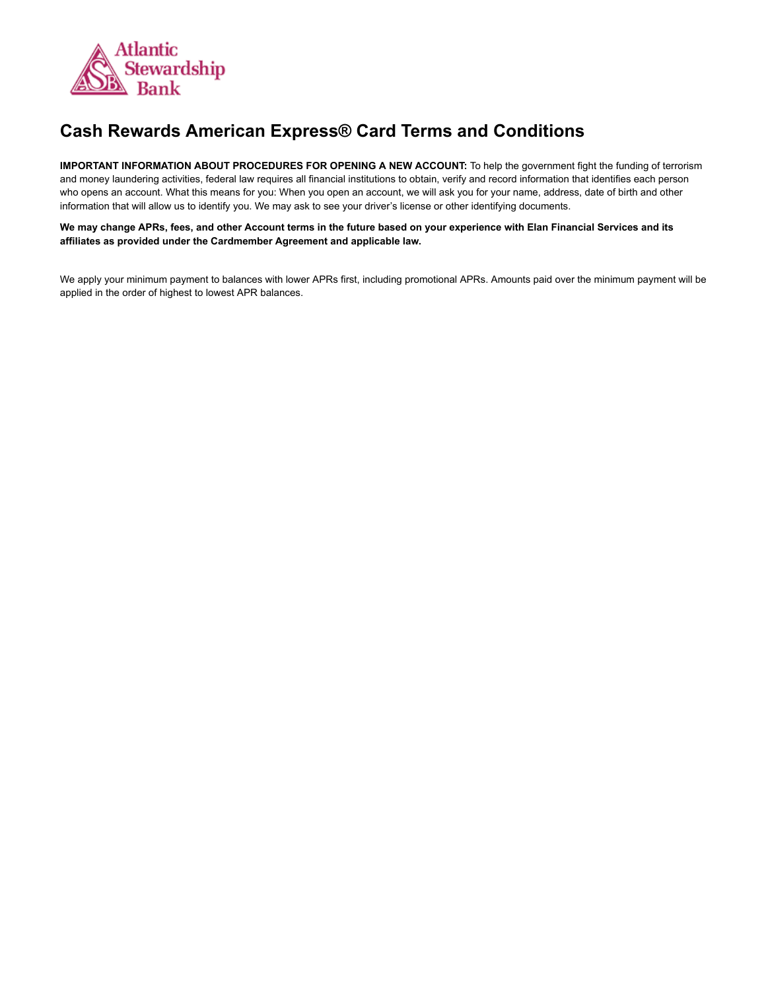

## **Cash Rewards American Express® Card Terms and Conditions**

**IMPORTANT INFORMATION ABOUT PROCEDURES FOR OPENING A NEW ACCOUNT:** To help the government fight the funding of terrorism and money laundering activities, federal law requires all financial institutions to obtain, verify and record information that identifies each person who opens an account. What this means for you: When you open an account, we will ask you for your name, address, date of birth and other information that will allow us to identify you. We may ask to see your driver's license or other identifying documents.

We may change APRs, fees, and other Account terms in the future based on your experience with Elan Financial Services and its **affiliates as provided under the Cardmember Agreement and applicable law.**

We apply your minimum payment to balances with lower APRs first, including promotional APRs. Amounts paid over the minimum payment will be applied in the order of highest to lowest APR balances.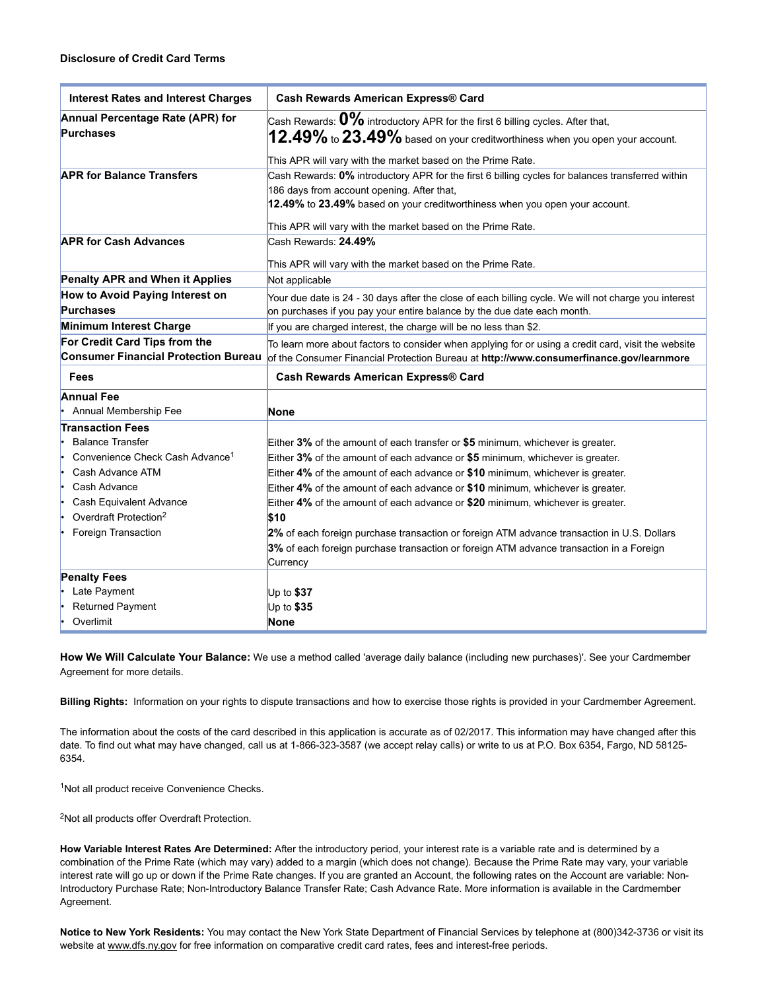| <b>Interest Rates and Interest Charges</b>  | <b>Cash Rewards American Express® Card</b>                                                           |
|---------------------------------------------|------------------------------------------------------------------------------------------------------|
| Annual Percentage Rate (APR) for            | Cash Rewards: $0\%$ introductory APR for the first 6 billing cycles. After that,                     |
| <b>Purchases</b>                            | $12.49\%$ to $23.49\%$ based on your creditworthiness when you open your account.                    |
|                                             | This APR will vary with the market based on the Prime Rate.                                          |
| <b>APR for Balance Transfers</b>            | Cash Rewards: 0% introductory APR for the first 6 billing cycles for balances transferred within     |
|                                             | 186 days from account opening. After that,                                                           |
|                                             | 12.49% to 23.49% based on your creditworthiness when you open your account.                          |
|                                             |                                                                                                      |
| <b>APR for Cash Advances</b>                | This APR will vary with the market based on the Prime Rate.<br>Cash Rewards: 24.49%                  |
|                                             |                                                                                                      |
|                                             | This APR will vary with the market based on the Prime Rate.                                          |
| Penalty APR and When it Applies             | Not applicable                                                                                       |
| How to Avoid Paying Interest on             | Your due date is 24 - 30 days after the close of each billing cycle. We will not charge you interest |
| <b>Purchases</b>                            | on purchases if you pay your entire balance by the due date each month.                              |
| Minimum Interest Charge                     | If you are charged interest, the charge will be no less than \$2.                                    |
| For Credit Card Tips from the               | To learn more about factors to consider when applying for or using a credit card, visit the website  |
| <b>Consumer Financial Protection Bureau</b> | of the Consumer Financial Protection Bureau at http://www.consumerfinance.gov/learnmore              |
| Fees                                        | <b>Cash Rewards American Express® Card</b>                                                           |
| <b>Annual Fee</b>                           |                                                                                                      |
| Annual Membership Fee                       | <b>None</b>                                                                                          |
| <b>Transaction Fees</b>                     |                                                                                                      |
| <b>Balance Transfer</b>                     | Either 3% of the amount of each transfer or \$5 minimum, whichever is greater.                       |
| Convenience Check Cash Advance <sup>1</sup> | Either 3% of the amount of each advance or \$5 minimum, whichever is greater.                        |
| Cash Advance ATM                            | Either 4% of the amount of each advance or \$10 minimum, whichever is greater.                       |
| Cash Advance                                | Either 4% of the amount of each advance or \$10 minimum, whichever is greater.                       |
| Cash Equivalent Advance                     | Either 4% of the amount of each advance or \$20 minimum, whichever is greater.                       |
| Overdraft Protection <sup>2</sup>           | \$10                                                                                                 |
| Foreign Transaction                         | 2% of each foreign purchase transaction or foreign ATM advance transaction in U.S. Dollars           |
|                                             | 3% of each foreign purchase transaction or foreign ATM advance transaction in a Foreign              |
|                                             |                                                                                                      |
|                                             | Currency                                                                                             |
| <b>Penalty Fees</b>                         |                                                                                                      |
| Late Payment                                | Up to $$37$                                                                                          |
| Returned Payment                            | Up to \$35                                                                                           |

**How We Will Calculate Your Balance:** We use a method called 'average daily balance (including new purchases)'. See your Cardmember Agreement for more details.

**Billing Rights:** Information on your rights to dispute transactions and how to exercise those rights is provided in your Cardmember Agreement.

The information about the costs of the card described in this application is accurate as of 02/2017. This information may have changed after this date. To find out what may have changed, call us at 1-866-323-3587 (we accept relay calls) or write to us at P.O. Box 6354, Fargo, ND 58125-6354.

<sup>1</sup>Not all product receive Convenience Checks.

<sup>2</sup>Not all products offer Overdraft Protection.

**How Variable Interest Rates Are Determined:** After the introductory period, your interest rate is a variable rate and is determined by a combination of the Prime Rate (which may vary) added to a margin (which does not change). Because the Prime Rate may vary, your variable interest rate will go up or down if the Prime Rate changes. If you are granted an Account, the following rates on the Account are variable: Non-Introductory Purchase Rate; Non-Introductory Balance Transfer Rate; Cash Advance Rate. More information is available in the Cardmember Agreement.

**Notice to New York Residents:** You may contact the New York State Department of Financial Services by telephone at (800)3423736 or visit its website at [www.dfs.ny.gov](http://www.dfs.ny.gov/) for free information on comparative credit card rates, fees and interest-free periods.